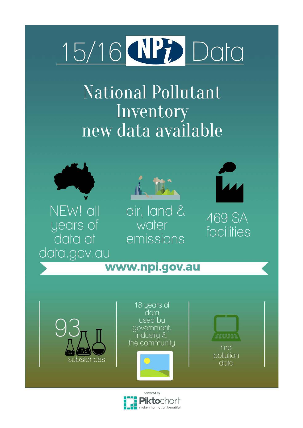# 15/16 **MPP** Data

**National Pollutant** Inventory new data available